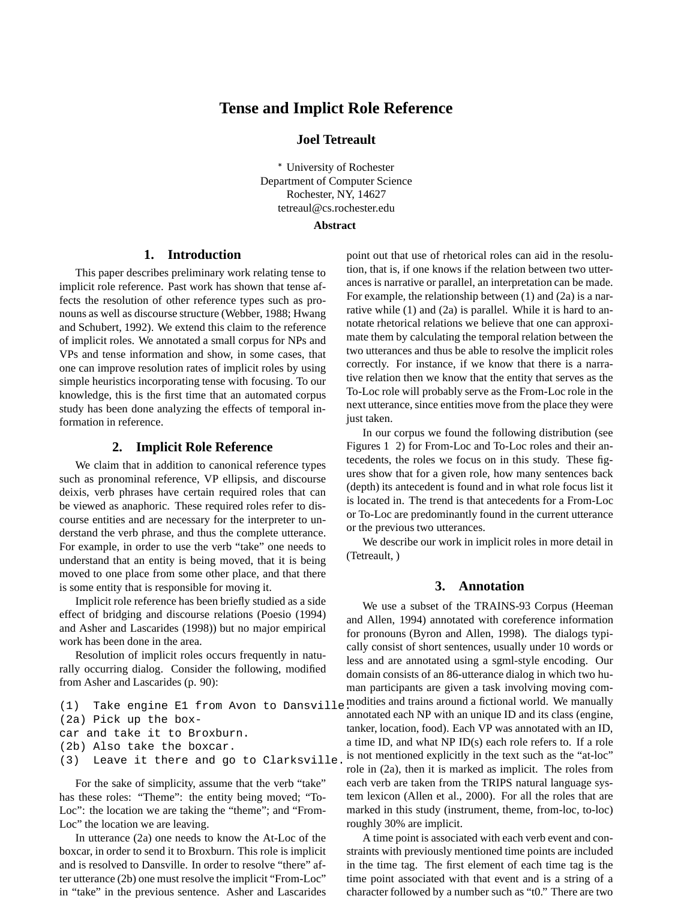# **Tense and Implict Role Reference**

# **Joel Tetreault**

 University of Rochester Department of Computer Science Rochester, NY, 14627 tetreaul@cs.rochester.edu

## **Abstract**

# **1. Introduction**

This paper describes preliminary work relating tense to implicit role reference. Past work has shown that tense affects the resolution of other reference types such as pronouns as well as discourse structure (Webber, 1988; Hwang and Schubert, 1992). We extend this claim to the reference of implicit roles. We annotated a small corpus for NPs and VPs and tense information and show, in some cases, that one can improve resolution rates of implicit roles by using simple heuristics incorporating tense with focusing. To our knowledge, this is the first time that an automated corpus study has been done analyzing the effects of temporal information in reference.

### **2. Implicit Role Reference**

We claim that in addition to canonical reference types such as pronominal reference, VP ellipsis, and discourse deixis, verb phrases have certain required roles that can be viewed as anaphoric. These required roles refer to discourse entities and are necessary for the interpreter to understand the verb phrase, and thus the complete utterance. For example, in order to use the verb "take" one needs to understand that an entity is being moved, that it is being moved to one place from some other place, and that there is some entity that is responsible for moving it.

Implicit role reference has been briefly studied as a side effect of bridging and discourse relations (Poesio (1994) and Asher and Lascarides (1998)) but no major empirical work has been done in the area.

Resolution of implicit roles occurs frequently in naturally occurring dialog. Consider the following, modified from Asher and Lascarides (p. 90):

```
(2a) Pick up the box-
car and take it to Broxburn.
(2b) Also take the boxcar.
(3) Leave it there and go to Clarksville.
```
For the sake of simplicity, assume that the verb "take" has these roles: "Theme": the entity being moved; "To-Loc": the location we are taking the "theme"; and "From-Loc" the location we are leaving.

In utterance (2a) one needs to know the At-Loc of the boxcar, in order to send it to Broxburn. This role is implicit and is resolved to Dansville. In order to resolve "there" after utterance (2b) one must resolve the implicit "From-Loc" in "take" in the previous sentence. Asher and Lascarides point out that use of rhetorical roles can aid in the resolution, that is, if one knows if the relation between two utterances is narrative or parallel, an interpretation can be made. For example, the relationship between (1) and (2a) is a narrative while (1) and (2a) is parallel. While it is hard to annotate rhetorical relations we believe that one can approximate them by calculating the temporal relation between the two utterances and thus be able to resolve the implicit roles correctly. For instance, if we know that there is a narrative relation then we know that the entity that serves as the To-Loc role will probably serve as the From-Loc role in the next utterance, since entities move from the place they were just taken.

In our corpus we found the following distribution (see Figures 1 2) for From-Loc and To-Loc roles and their antecedents, the roles we focus on in this study. These figures show that for a given role, how many sentences back (depth) its antecedent is found and in what role focus list it is located in. The trend is that antecedents for a From-Loc or To-Loc are predominantly found in the current utterance or the previous two utterances.

We describe our work in implicit roles in more detail in (Tetreault, )

# **3. Annotation**

(1) Take engine E1 from Avon to Dansville. modities and trains around a fictional world. We manually We use a subset of the TRAINS-93 Corpus (Heeman and Allen, 1994) annotated with coreference information for pronouns (Byron and Allen, 1998). The dialogs typically consist of short sentences, usually under 10 words or less and are annotated using a sgml-style encoding. Our domain consists of an 86-utterance dialog in which two human participants are given a task involving moving comannotated each NP with an unique ID and its class (engine, tanker, location, food). Each VP was annotated with an ID, a time ID, and what NP ID(s) each role refers to. If a role is not mentioned explicitly in the text such as the "at-loc" role in (2a), then it is marked as implicit. The roles from each verb are taken from the TRIPS natural language system lexicon (Allen et al., 2000). For all the roles that are marked in this study (instrument, theme, from-loc, to-loc) roughly 30% are implicit.

> A time point is associated with each verb event and constraints with previously mentioned time points are included in the time tag. The first element of each time tag is the time point associated with that event and is a string of a character followed by a number such as "t0." There are two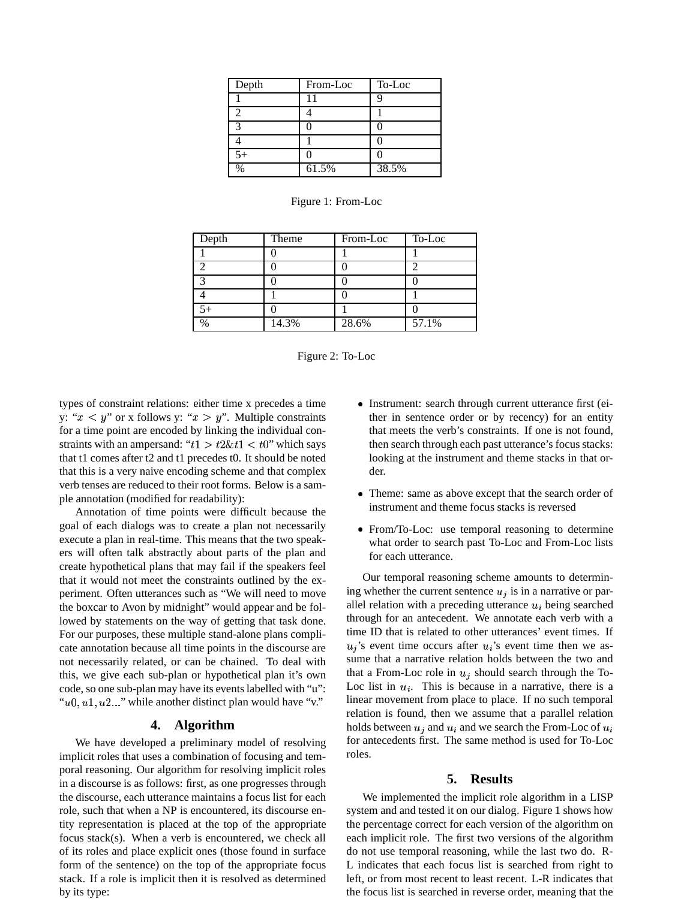| Depth | From-Loc | To-Loc |
|-------|----------|--------|
|       | 11       |        |
|       |          |        |
| 3     |          |        |
|       |          |        |
| $5+$  |          |        |
| $\%$  | 61.5%    | 38.5%  |

| Depth         | Theme | From-Loc | To-Loc |
|---------------|-------|----------|--------|
|               |       |          |        |
|               |       |          |        |
| ◠             |       |          |        |
|               |       |          |        |
|               |       |          |        |
| $\frac{0}{0}$ | 14.3% | 28.6%    | 57.1%  |



types of constraint relations: either time x precedes a time y: " $x < y$ " or x follows y: " $x > y$ ". Multiple constraints for a time point are encoded by linking the individual constraints with an ampersand: " $t1 > t2 \& t1 < t0$ " which says that t1 comes after t2 and t1 precedes t0. It should be noted that this is a very naive encoding scheme and that complex verb tenses are reduced to their root forms. Below is a sample annotation (modified for readability):

Annotation of time points were difficult because the goal of each dialogs was to create a plan not necessarily execute a plan in real-time. This means that the two speakers will often talk abstractly about parts of the plan and create hypothetical plans that may fail if the speakers feel that it would not meet the constraints outlined by the experiment. Often utterances such as "We will need to move the boxcar to Avon by midnight" would appear and be followed by statements on the way of getting that task done. For our purposes, these multiple stand-alone plans complicate annotation because all time points in the discourse are not necessarily related, or can be chained. To deal with this, we give each sub-plan or hypothetical plan it's own code, so one sub-plan may have its events labelled with "u": " $u_0, u_1, u_2, \ldots$ " while another distinct plan would have "v."

#### **4. Algorithm**

We have developed a preliminary model of resolving implicit roles that uses a combination of focusing and temporal reasoning. Our algorithm for resolving implicit roles in a discourse is as follows: first, as one progresses through the discourse, each utterance maintains a focus list for each role, such that when a NP is encountered, its discourse entity representation is placed at the top of the appropriate focus stack(s). When a verb is encountered, we check all of its roles and place explicit ones (those found in surface form of the sentence) on the top of the appropriate focus stack. If a role is implicit then it is resolved as determined by its type:

- Instrument: search through current utterance first (either in sentence order or by recency) for an entity that meets the verb's constraints. If one is not found, then search through each past utterance's focus stacks: looking at the instrument and theme stacks in that order.
- Theme: same as above except that the search order of instrument and theme focus stacks is reversed
- From/To-Loc: use temporal reasoning to determine what order to search past To-Loc and From-Loc lists for each utterance.

Our temporal reasoning scheme amounts to determining whether the current sentence  $u_j$  is in a narrative or parallel relation with a preceding utterance  $u_i$  being searched through for an antecedent. We annotate each verb with a time ID that is related to other utterances' event times. If  $u_j$ 's event time occurs after  $u_i$ 's event time then we assume that a narrative relation holds between the two and that a From-Loc role in  $u_i$  should search through the To-Loc list in  $u_i$ . This is because in a narrative, there is a linear movement from place to place. If no such temporal relation is found, then we assume that a parallel relation holds between  $u_i$  and  $u_i$  and we search the From-Loc of  $u_i$ for antecedents first. The same method is used for To-Loc roles.

#### **5. Results**

We implemented the implicit role algorithm in a LISP system and and tested it on our dialog. Figure 1 shows how the percentage correct for each version of the algorithm on each implicit role. The first two versions of the algorithm do not use temporal reasoning, while the last two do. R-L indicates that each focus list is searched from right to left, or from most recent to least recent. L-R indicates that the focus list is searched in reverse order, meaning that the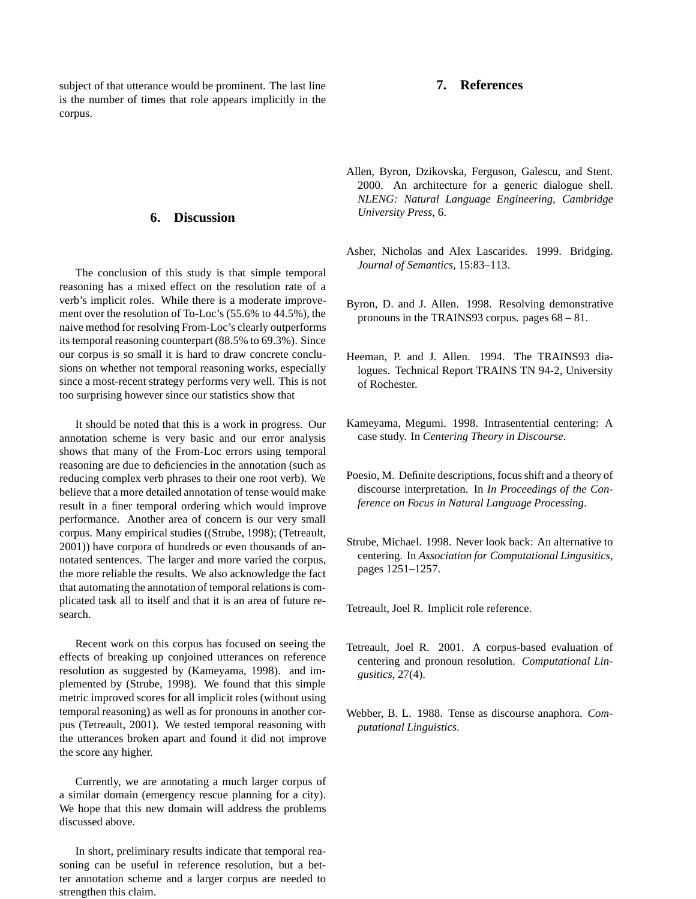subject of that utterance would be prominent. The last line is the number of times that role appears implicitly in the corpus.

### **6. Discussion**

The conclusion of this study is that simple temporal reasoning has a mixed effect on the resolution rate of a verb's implicit roles. While there is a moderate improvement over the resolution of To-Loc's (55.6% to 44.5%), the naive method for resolving From-Loc's clearly outperforms its temporal reasoning counterpart (88.5% to 69.3%). Since our corpus is so small it is hard to draw concrete conclusions on whether not temporal reasoning works, especially since a most-recent strategy performs very well. This is not too surprising however since our statistics show that

It should be noted that this is a work in progress. Our annotation scheme is very basic and our error analysis shows that many of the From-Loc errors using temporal reasoning are due to deficiencies in the annotation (such as reducing complex verb phrases to their one root verb). We believe that a more detailed annotation of tense would make result in a finer temporal ordering which would improve performance. Another area of concern is our very small corpus. Many empirical studies ((Strube, 1998); (Tetreault, 2001)) have corpora of hundreds or even thousands of annotated sentences. The larger and more varied the corpus, the more reliable the results. We also acknowledge the fact that automating the annotation of temporal relations is complicated task all to itself and that it is an area of future research.

Recent work on this corpus has focused on seeing the effects of breaking up conjoined utterances on reference resolution as suggested by (Kameyama, 1998). and implemented by (Strube, 1998). We found that this simple metric improved scores for all implicit roles (without using temporal reasoning) as well as for pronouns in another corpus (Tetreault, 2001). We tested temporal reasoning with the utterances broken apart and found it did not improve the score any higher.

Currently, we are annotating a much larger corpus of a similar domain (emergency rescue planning for a city). We hope that this new domain will address the problems discussed above.

In short, preliminary results indicate that temporal reasoning can be useful in reference resolution, but a better annotation scheme and a larger corpus are needed to strengthen this claim.

### **7. References**

- Allen, Byron, Dzikovska, Ferguson, Galescu, and Stent. 2000. An architecture for a generic dialogue shell. *NLENG: Natural Language Engineering, Cambridge University Press*, 6.
- Asher, Nicholas and Alex Lascarides. 1999. Bridging. *Journal of Semantics*, 15:83–113.
- Byron, D. and J. Allen. 1998. Resolving demonstrative pronouns in the TRAINS93 corpus. pages 68 – 81.
- Heeman, P. and J. Allen. 1994. The TRAINS93 dialogues. Technical Report TRAINS TN 94-2, University of Rochester.
- Kameyama, Megumi. 1998. Intrasentential centering: A case study. In *Centering Theory in Discourse*.
- Poesio, M. Definite descriptions, focus shift and a theory of discourse interpretation. In *In Proceedings of the Conference on Focus in Natural Language Processing*.
- Strube, Michael. 1998. Never look back: An alternative to centering. In *Association for Computational Lingusitics*, pages 1251–1257.

Tetreault, Joel R. Implicit role reference.

- Tetreault, Joel R. 2001. A corpus-based evaluation of centering and pronoun resolution. *Computational Lingusitics*, 27(4).
- Webber, B. L. 1988. Tense as discourse anaphora. *Computational Linguistics*.